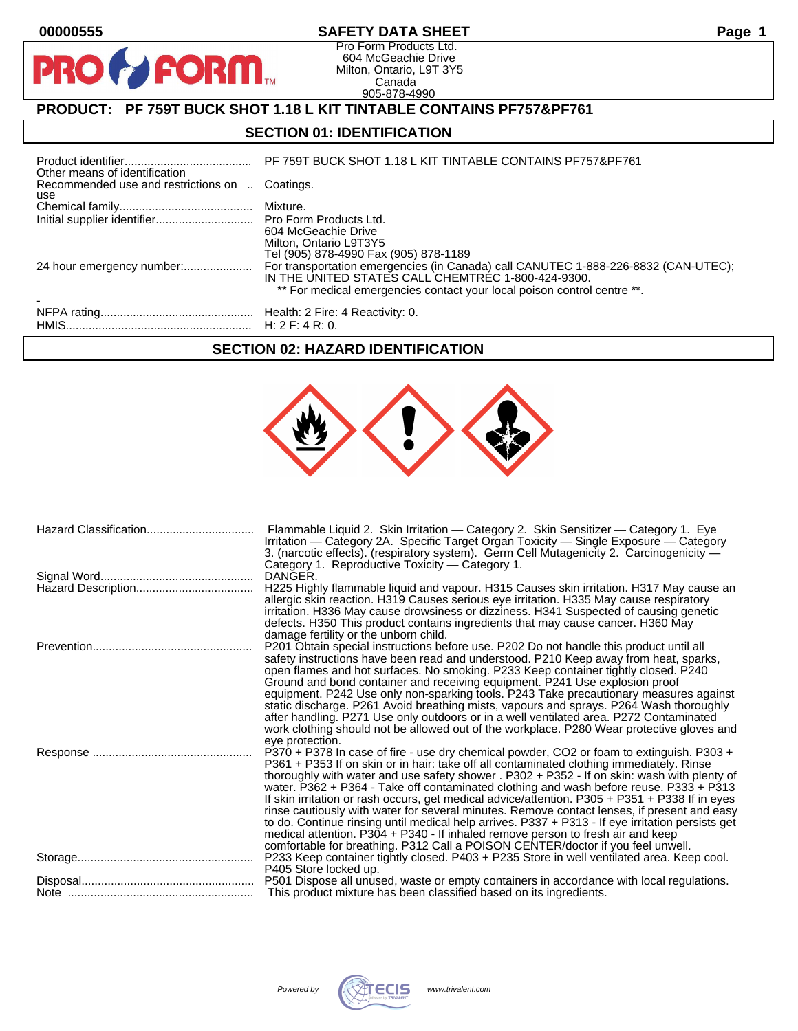PRO

### **00000555 SAFETY DATA SHEET Page 1**

Pro Form Products Ltd. 604 McGeachie Drive Milton, Ontario, L9T 3Y5 Canada 905-878-4990

## **PRODUCT: PF 759T BUCK SHOT 1.18 L KIT TINTABLE CONTAINS PF757&PF761**

**FORM.** 

### **SECTION 01: IDENTIFICATION**

| Other means of identification                         | PF 759T BUCK SHOT 1.18 L KIT TINTABLE CONTAINS PF757&PF761                                                                                                                                                          |
|-------------------------------------------------------|---------------------------------------------------------------------------------------------------------------------------------------------------------------------------------------------------------------------|
| Recommended use and restrictions on  Coatings.<br>use |                                                                                                                                                                                                                     |
|                                                       |                                                                                                                                                                                                                     |
|                                                       | 604 McGeachie Drive<br>Milton, Ontario L9T3Y5<br>Tel (905) 878-4990 Fax (905) 878-1189                                                                                                                              |
|                                                       | For transportation emergencies (in Canada) call CANUTEC 1-888-226-8832 (CAN-UTEC);<br>IN THE UNITED STATES CALL CHEMTREC 1-800-424-9300.<br>** For medical emergencies contact your local poison control centre **. |
|                                                       |                                                                                                                                                                                                                     |

### **SECTION 02: HAZARD IDENTIFICATION**

| Hazard Classification | Flammable Liquid 2. Skin Irritation - Category 2. Skin Sensitizer - Category 1. Eye<br>Irritation — Category 2A. Specific Target Organ Toxicity — Single Exposure — Category<br>3. (narcotic effects). (respiratory system). Germ Cell Mutagenicity 2. Carcinogenicity —<br>Category 1. Reproductive Toxicity - Category 1.                                                                                                                                                                                                                                                                                                                                                                                                                                                                                                                              |
|-----------------------|----------------------------------------------------------------------------------------------------------------------------------------------------------------------------------------------------------------------------------------------------------------------------------------------------------------------------------------------------------------------------------------------------------------------------------------------------------------------------------------------------------------------------------------------------------------------------------------------------------------------------------------------------------------------------------------------------------------------------------------------------------------------------------------------------------------------------------------------------------|
|                       | DANGER.<br>H225 Highly flammable liquid and vapour. H315 Causes skin irritation. H317 May cause an<br>allergic skin reaction. H319 Causes serious eye irritation. H335 May cause respiratory<br>irritation. H336 May cause drowsiness or dizziness. H341 Suspected of causing genetic<br>defects. H350 This product contains ingredients that may cause cancer. H360 May<br>damage fertility or the unborn child.                                                                                                                                                                                                                                                                                                                                                                                                                                        |
|                       | P201 Obtain special instructions before use. P202 Do not handle this product until all<br>safety instructions have been read and understood. P210 Keep away from heat, sparks,<br>open flames and hot surfaces. No smoking. P233 Keep container tightly closed. P240<br>Ground and bond container and receiving equipment. P241 Use explosion proof<br>equipment. P242 Use only non-sparking tools. P243 Take precautionary measures against<br>static discharge. P261 Avoid breathing mists, vapours and sprays. P264 Wash thoroughly<br>after handling. P271 Use only outdoors or in a well ventilated area. P272 Contaminated<br>work clothing should not be allowed out of the workplace. P280 Wear protective gloves and<br>eye protection.                                                                                                         |
|                       | P370 + P378 In case of fire - use dry chemical powder, CO2 or foam to extinguish. P303 +<br>P361 + P353 If on skin or in hair: take off all contaminated clothing immediately. Rinse<br>thoroughly with water and use safety shower . P302 + P352 - If on skin: wash with plenty of<br>water. P362 + P364 - Take off contaminated clothing and wash before reuse. P333 + P313<br>If skin irritation or rash occurs, get medical advice/attention. P305 + P351 + P338 If in eyes<br>rinse cautiously with water for several minutes. Remove contact lenses, if present and easy<br>to do. Continue rinsing until medical help arrives. P337 + P313 - If eye irritation persists get<br>medical attention. P304 + P340 - If inhaled remove person to fresh air and keep<br>comfortable for breathing. P312 Call a POISON CENTER/doctor if you feel unwell. |
|                       | P233 Keep container tightly closed. P403 + P235 Store in well ventilated area. Keep cool.<br>P405 Store locked up.                                                                                                                                                                                                                                                                                                                                                                                                                                                                                                                                                                                                                                                                                                                                       |
|                       | P501 Dispose all unused, waste or empty containers in accordance with local regulations.<br>This product mixture has been classified based on its ingredients.                                                                                                                                                                                                                                                                                                                                                                                                                                                                                                                                                                                                                                                                                           |
|                       |                                                                                                                                                                                                                                                                                                                                                                                                                                                                                                                                                                                                                                                                                                                                                                                                                                                          |

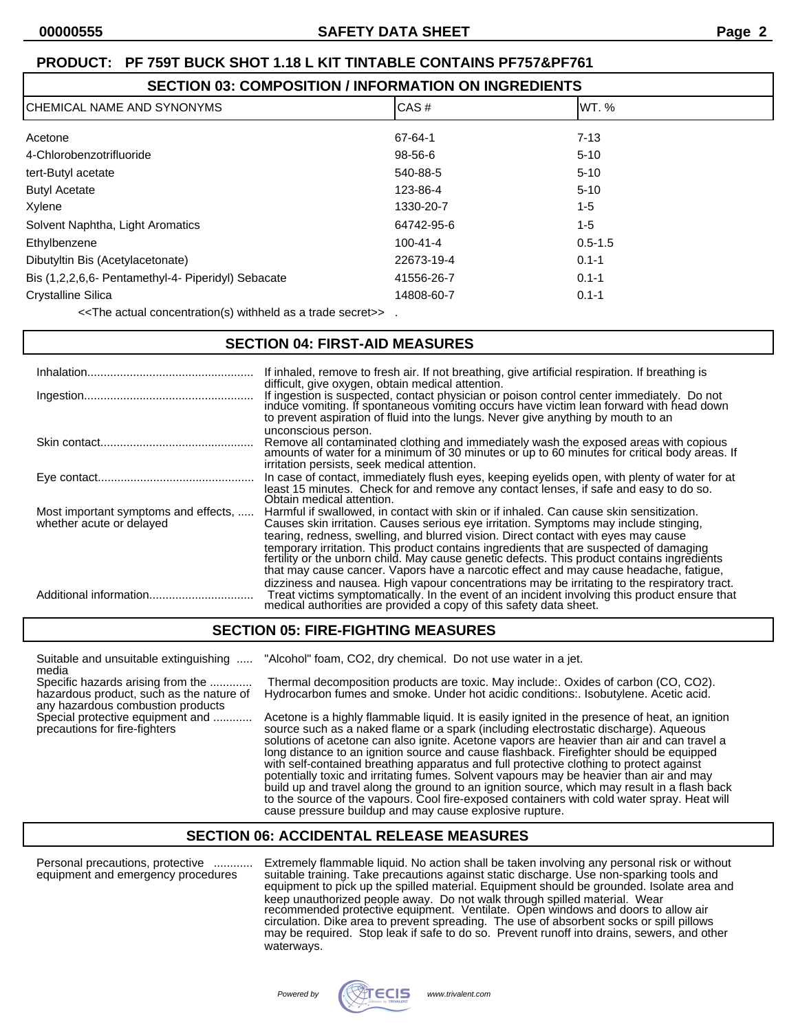### **SECTION 03: COMPOSITION / INFORMATION ON INGREDIENTS**

| ICHEMICAL NAME AND SYNONYMS                        | CAS#           | IWT. %      |
|----------------------------------------------------|----------------|-------------|
| Acetone                                            | 67-64-1        | $7 - 13$    |
| 4-Chlorobenzotrifluoride                           | 98-56-6        | $5 - 10$    |
| tert-Butyl acetate                                 | 540-88-5       | $5 - 10$    |
| <b>Butyl Acetate</b>                               | 123-86-4       | $5 - 10$    |
| Xylene                                             | 1330-20-7      | 1-5         |
| Solvent Naphtha, Light Aromatics                   | 64742-95-6     | 1-5         |
| Ethylbenzene                                       | $100 - 41 - 4$ | $0.5 - 1.5$ |
| Dibutyltin Bis (Acetylacetonate)                   | 22673-19-4     | $0.1 - 1$   |
| Bis (1,2,2,6,6- Pentamethyl-4- Piperidyl) Sebacate | 41556-26-7     | $0.1 - 1$   |
| <b>Crystalline Silica</b>                          | 14808-60-7     | $0.1 - 1$   |

<<The actual concentration(s) withheld as a trade secret>> .

### **SECTION 04: FIRST-AID MEASURES**

|                          | If inhaled, remove to fresh air. If not breathing, give artificial respiration. If breathing is<br>difficult, give oxygen, obtain medical attention.<br>If ingestion is suspected, contact physician or poison control center immediately. Do not induce vomiting. If spontaneous vomiting occurs have victim lean forward with head down<br>to prevent aspiration of fluid into the lungs. Never give anything by mouth to an                                                                                                                                                                 |
|--------------------------|------------------------------------------------------------------------------------------------------------------------------------------------------------------------------------------------------------------------------------------------------------------------------------------------------------------------------------------------------------------------------------------------------------------------------------------------------------------------------------------------------------------------------------------------------------------------------------------------|
|                          | unconscious person.<br>Remove all contaminated clothing and immediately wash the exposed areas with copious amounts of water for a minimum of 30 minutes or up to 60 minutes for critical body areas. If<br>irritation persists, seek medical attention.                                                                                                                                                                                                                                                                                                                                       |
|                          | In case of contact, immediately flush eyes, keeping eyelids open, with plenty of water for at<br>least 15 minutes. Check for and remove any contact lenses, if safe and easy to do so.<br>Obtain medical attention.                                                                                                                                                                                                                                                                                                                                                                            |
| whether acute or delayed | Most important symptoms and effects,  Harmful if swallowed, in contact with skin or if inhaled. Can cause skin sensitization.<br>Causes skin irritation. Causes serious eye irritation. Symptoms may include stinging,<br>tearing, redness, swelling, and blurred vision. Direct contact with eyes may cause<br>temporary irritation. This product contains ingredients that are suspected of damaging<br>fertility or the unborn child. May cause genetic defects. This product contains ingredients<br>that may cause cancer. Vapors have a narcotic effect and may cause headache, fatigue, |
|                          | dizziness and nausea. High vapour concentrations may be irritating to the respiratory tract.<br>Treat victims symptomatically. In the event of an incident involving this product ensure that<br>medical authorities are provided a copy of this safety data sheet.                                                                                                                                                                                                                                                                                                                            |

### **SECTION 05: FIRE-FIGHTING MEASURES**

media

any hazardous combustion products

Suitable and unsuitable extinguishing ..... "Alcohol" foam, CO2, dry chemical. Do not use water in a jet.

Specific hazards arising from the ............. Thermal decomposition products are toxic. May include:. Oxides of carbon (CO, CO2). Hydrocarbon fumes and smoke. Under hot acidic conditions:. Isobutylene. Acetic acid.

Special protective equipment and ............. Acetone is a highly flammable liquid. It is easily ignited in the presence of heat, an ignition precautions for fire-fighters<br>precautions for fire-fighters source such as a na source such as a naked flame or a spark (including electrostatic discharge). Aqueous solutions of acetone can also ignite. Acetone vapors are heavier than air and can travel a long distance to an ignition source and cause flashback. Firefighter should be equipped with self-contained breathing apparatus and full protective clothing to protect against potentially toxic and irritating fumes. Solvent vapours may be heavier than air and may build up and travel along the ground to an ignition source, which may result in a flash back to the source of the vapours. Cool fire-exposed containers with cold water spray. Heat will cause pressure buildup and may cause explosive rupture.

### **SECTION 06: ACCIDENTAL RELEASE MEASURES**

Personal precautions, protective ............ Extremely flammable liquid. No action shall be taken involving any personal risk or without equipment and emergency procedures suitable training. Take precautions against static discharge. Use non-sparking tools and equipment to pick up the spilled material. Equipment should be grounded. Isolate area and keep unauthorized people away. Do not walk through spilled material. Wear recommended protective equipment. Ventilate. Open windows and doors to allow air circulation. Dike area to prevent spreading. The use of absorbent socks or spill pillows may be required. Stop leak if safe to do so. Prevent runoff into drains, sewers, and other waterways.

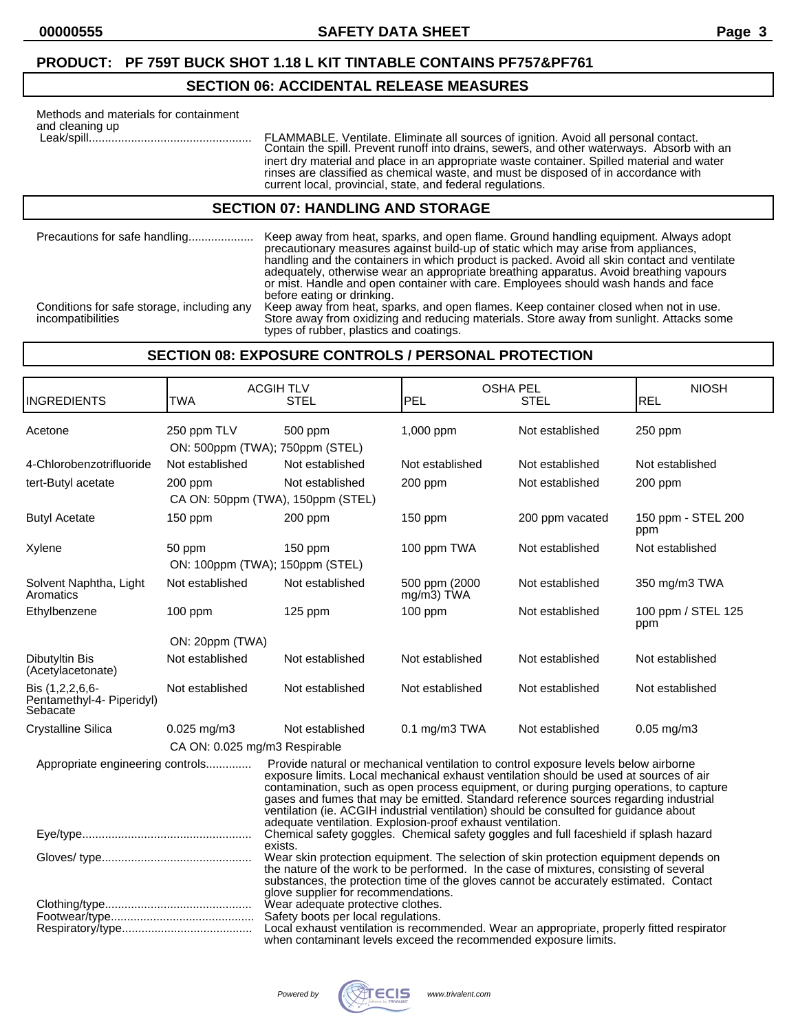### **SECTION 06: ACCIDENTAL RELEASE MEASURES**

| Methods and materials for containment<br>and cleaning up | FLAMMABLE. Ventilate. Eliminate all sources of ignition. Avoid all personal contact.<br>Contain the spill. Prevent runoff into drains, sewers, and other waterways. Absorb with an<br>inert dry material and place in an appropriate waste container. Spilled material and water<br>rinses are classified as chemical waste, and must be disposed of in accordance with<br>current local, provincial, state, and federal regulations. |
|----------------------------------------------------------|---------------------------------------------------------------------------------------------------------------------------------------------------------------------------------------------------------------------------------------------------------------------------------------------------------------------------------------------------------------------------------------------------------------------------------------|
|                                                          | <b>SECTION 07: HANDLING AND STORAGE</b>                                                                                                                                                                                                                                                                                                                                                                                               |
| Precautions for safe handling                            | Keep away from heat, sparks, and open flame. Ground handling equipment. Always adopt<br>precautionary measures against build-up of static which may arise from appliances.<br>handling and the containers in which product is packed. Avoid all skin contact and ventilate                                                                                                                                                            |

adequately, otherwise wear an appropriate breathing apparatus. Avoid breathing vapours or mist. Handle and open container with care. Employees should wash hands and face before eating or drinking. Conditions for safe storage, including any Keep away from heat, sparks, and open flames. Keep container closed when not in use. Conditions for safe storage, including any Keep away from heat, sparks, and open flames. Keep container closed when not in use.<br>Store away from oxidizing and reducing materials. Store away from sunlight. Attacks some

**SECTION 08: EXPOSURE CONTROLS / PERSONAL PROTECTION**

types of rubber, plastics and coatings.

| INGREDIENTS                                                                                                                                                                                                                              | <b>TWA</b>                    | <b>ACGIH TLV</b><br><b>STEL</b>                                                                                                                                                                                                                                                                                                                                                                                                                                                                                         | <b>PEL</b>                     | <b>OSHA PEL</b><br><b>STEL</b> | <b>NIOSH</b><br><b>REL</b> |
|------------------------------------------------------------------------------------------------------------------------------------------------------------------------------------------------------------------------------------------|-------------------------------|-------------------------------------------------------------------------------------------------------------------------------------------------------------------------------------------------------------------------------------------------------------------------------------------------------------------------------------------------------------------------------------------------------------------------------------------------------------------------------------------------------------------------|--------------------------------|--------------------------------|----------------------------|
|                                                                                                                                                                                                                                          |                               |                                                                                                                                                                                                                                                                                                                                                                                                                                                                                                                         |                                |                                |                            |
| Acetone                                                                                                                                                                                                                                  | 250 ppm TLV                   | 500 ppm<br>ON: 500ppm (TWA); 750ppm (STEL)                                                                                                                                                                                                                                                                                                                                                                                                                                                                              | 1,000 ppm                      | Not established                | 250 ppm                    |
| 4-Chlorobenzotrifluoride                                                                                                                                                                                                                 | Not established               | Not established                                                                                                                                                                                                                                                                                                                                                                                                                                                                                                         | Not established                | Not established                | Not established            |
| tert-Butyl acetate                                                                                                                                                                                                                       | 200 ppm                       | Not established                                                                                                                                                                                                                                                                                                                                                                                                                                                                                                         | 200 ppm                        | Not established                | 200 ppm                    |
|                                                                                                                                                                                                                                          |                               | CA ON: 50ppm (TWA), 150ppm (STEL)                                                                                                                                                                                                                                                                                                                                                                                                                                                                                       |                                |                                |                            |
| <b>Butyl Acetate</b>                                                                                                                                                                                                                     | 150 ppm                       | 200 ppm                                                                                                                                                                                                                                                                                                                                                                                                                                                                                                                 | 150 ppm                        | 200 ppm vacated                | 150 ppm - STEL 200<br>ppm  |
| Xylene                                                                                                                                                                                                                                   | 50 ppm                        | 150 ppm                                                                                                                                                                                                                                                                                                                                                                                                                                                                                                                 | 100 ppm TWA                    | Not established                | Not established            |
|                                                                                                                                                                                                                                          |                               | ON: 100ppm (TWA); 150ppm (STEL)                                                                                                                                                                                                                                                                                                                                                                                                                                                                                         |                                |                                |                            |
| Solvent Naphtha, Light<br>Aromatics                                                                                                                                                                                                      | Not established               | Not established                                                                                                                                                                                                                                                                                                                                                                                                                                                                                                         | 500 ppm (2000<br>$mg/m3$ ) TWA | Not established                | 350 mg/m3 TWA              |
| Ethylbenzene                                                                                                                                                                                                                             | $100$ ppm                     | $125$ ppm                                                                                                                                                                                                                                                                                                                                                                                                                                                                                                               | $100$ ppm                      | Not established                | 100 ppm / STEL 125<br>ppm  |
|                                                                                                                                                                                                                                          | ON: 20ppm (TWA)               |                                                                                                                                                                                                                                                                                                                                                                                                                                                                                                                         |                                |                                |                            |
| Dibutyltin Bis<br>(Acetylacetonate)                                                                                                                                                                                                      | Not established               | Not established                                                                                                                                                                                                                                                                                                                                                                                                                                                                                                         | Not established                | Not established                | Not established            |
| Bis (1,2,2,6,6-<br>Pentamethyl-4- Piperidyl)<br>Sebacate                                                                                                                                                                                 | Not established               | Not established                                                                                                                                                                                                                                                                                                                                                                                                                                                                                                         | Not established                | Not established                | Not established            |
| Crystalline Silica                                                                                                                                                                                                                       | $0.025$ mg/m3                 | Not established                                                                                                                                                                                                                                                                                                                                                                                                                                                                                                         | $0.1$ mg/m3 TWA                | Not established                | $0.05$ mg/m $3$            |
|                                                                                                                                                                                                                                          | CA ON: 0.025 mg/m3 Respirable |                                                                                                                                                                                                                                                                                                                                                                                                                                                                                                                         |                                |                                |                            |
| Appropriate engineering controls                                                                                                                                                                                                         |                               | Provide natural or mechanical ventilation to control exposure levels below airborne<br>exposure limits. Local mechanical exhaust ventilation should be used at sources of air<br>contamination, such as open process equipment, or during purging operations, to capture<br>gases and fumes that may be emitted. Standard reference sources regarding industrial<br>ventilation (ie. ACGIH industrial ventilation) should be consulted for guidance about<br>adequate ventilation. Explosion-proof exhaust ventilation. |                                |                                |                            |
|                                                                                                                                                                                                                                          |                               | Chemical safety goggles. Chemical safety goggles and full faceshield if splash hazard<br>exists.                                                                                                                                                                                                                                                                                                                                                                                                                        |                                |                                |                            |
|                                                                                                                                                                                                                                          |                               | Wear skin protection equipment. The selection of skin protection equipment depends on<br>the nature of the work to be performed. In the case of mixtures, consisting of several<br>substances, the protection time of the gloves cannot be accurately estimated. Contact<br>glove supplier for recommendations.                                                                                                                                                                                                         |                                |                                |                            |
| Wear adequate protective clothes.<br>Safety boots per local regulations.<br>Local exhaust ventilation is recommended. Wear an appropriate, properly fitted respirator<br>when contaminant levels exceed the recommended exposure limits. |                               |                                                                                                                                                                                                                                                                                                                                                                                                                                                                                                                         |                                |                                |                            |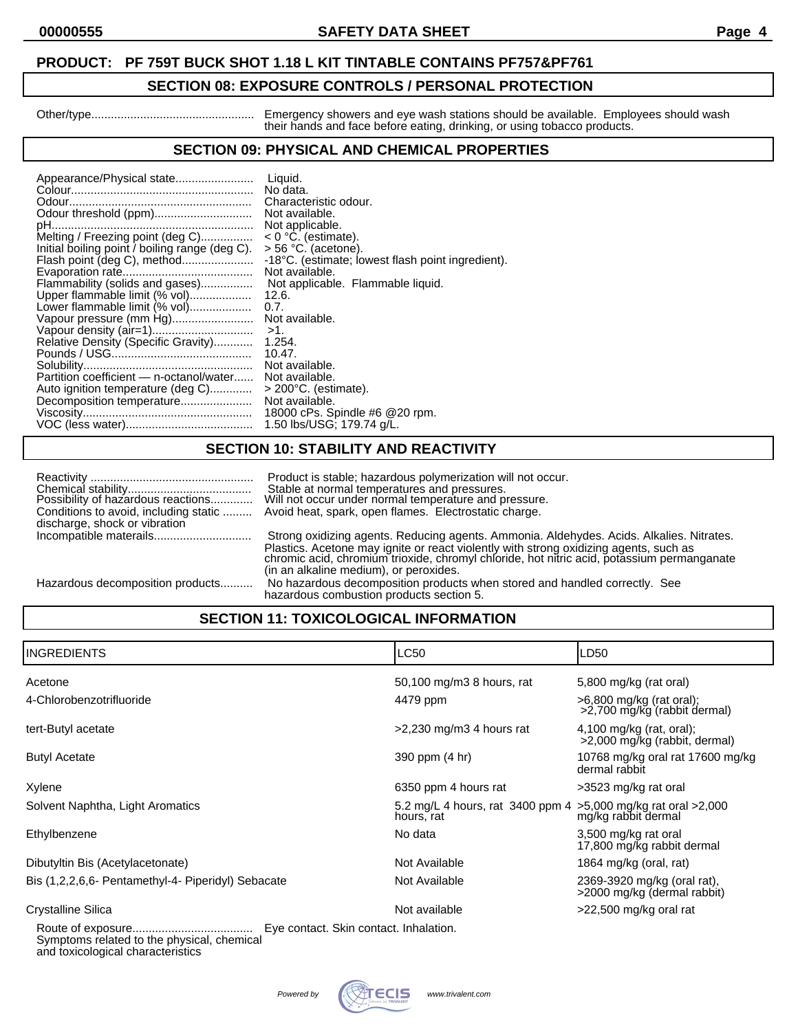### **00000555 SAFETY DATA SHEET Page 4**

# **PRODUCT: PF 759T BUCK SHOT 1.18 L KIT TINTABLE CONTAINS PF757&PF761**

### **SECTION 08: EXPOSURE CONTROLS / PERSONAL PROTECTION**

Other/type.................................................. Emergency showers and eye wash stations should be available. Employees should wash their hands and face before eating, drinking, or using tobacco products.

### **SECTION 09: PHYSICAL AND CHEMICAL PROPERTIES**

| Appearance/Physical state                      | Liquid.                                           |
|------------------------------------------------|---------------------------------------------------|
|                                                | No data.                                          |
|                                                | Characteristic odour.                             |
| Odour threshold (ppm)                          | Not available.                                    |
|                                                | Not applicable.                                   |
| Melting / Freezing point (deg C)               | $< 0$ °C. (estimate).                             |
| Initial boiling point / boiling range (deg C). | $>$ 56 °C. (acetone).                             |
| Flash point (deg C), method                    | -18°C. (estimate; lowest flash point ingredient). |
|                                                | Not available.                                    |
| Flammability (solids and gases)                | Not applicable. Flammable liquid.                 |
| Upper flammable limit (% vol)                  | 12.6.                                             |
| Lower flammable limit (% vol)                  | 0.7.                                              |
| Vapour pressure (mm Hg)                        | Not available.                                    |
|                                                | $>1$ .                                            |
| Relative Density (Specific Gravity)            | 1.254.                                            |
|                                                | 10.47.                                            |
|                                                | Not available.                                    |
| Partition coefficient — n-octanol/water        | Not available.                                    |
| Auto ignition temperature (deg C)              | $>$ 200 $^{\circ}$ C. (estimate).                 |
| Decomposition temperature                      | Not available.                                    |
|                                                | 18000 cPs. Spindle #6 @ 20 rpm.                   |
|                                                | 1.50 lbs/USG; 179.74 g/L.                         |
|                                                |                                                   |

### **SECTION 10: STABILITY AND REACTIVITY**

| Possibility of hazardous reactions<br>discharge, shock or vibration | Product is stable; hazardous polymerization will not occur.<br>Stable at normal temperatures and pressures.<br>Will not occur under normal temperature and pressure.<br>Conditions to avoid, including static  Avoid heat, spark, open flames. Electrostatic charge.                                                   |
|---------------------------------------------------------------------|------------------------------------------------------------------------------------------------------------------------------------------------------------------------------------------------------------------------------------------------------------------------------------------------------------------------|
|                                                                     | Strong oxidizing agents. Reducing agents. Ammonia. Aldehydes. Acids. Alkalies. Nitrates.<br>Plastics. Acetone may ignite or react violently with strong oxidizing agents, such as chromic acid, chromium trioxide, chromyl chloride, hot nitric acid, potassium permanganate<br>(in an alkaline medium), or peroxides. |
| Hazardous decomposition products                                    | No hazardous decomposition products when stored and handled correctly. See<br>hazardous combustion products section 5.                                                                                                                                                                                                 |

## **SECTION 11: TOXICOLOGICAL INFORMATION**

| <b>INGREDIENTS</b>                                 |                                     | <b>LC50</b>                                                                | LD50                                                        |
|----------------------------------------------------|-------------------------------------|----------------------------------------------------------------------------|-------------------------------------------------------------|
| Acetone                                            |                                     | 50,100 mg/m3 8 hours, rat                                                  | 5,800 mg/kg (rat oral)                                      |
| 4-Chlorobenzotrifluoride                           |                                     | 4479 ppm                                                                   | >6,800 mg/kg (rat oral);<br>>2,700 mg/kg (rabbit dermal)    |
| tert-Butyl acetate                                 |                                     | $>2,230$ mg/m3 4 hours rat                                                 | $4,100$ mg/kg (rat, oral);<br>>2,000 mg/kg (rabbit, dermal) |
| <b>Butyl Acetate</b>                               |                                     | 390 ppm (4 hr)                                                             | 10768 mg/kg oral rat 17600 mg/kg<br>dermal rabbit           |
| Xylene                                             |                                     | 6350 ppm 4 hours rat                                                       | >3523 mg/kg rat oral                                        |
| Solvent Naphtha, Light Aromatics                   |                                     | 5.2 mg/L 4 hours, rat 3400 ppm 4 > 5,000 mg/kg rat oral > 2,000 hours, rat |                                                             |
| Ethylbenzene                                       |                                     | No data                                                                    | 3,500 mg/kg rat oral<br>17,800 mg/kg rabbit dermal          |
| Dibutyltin Bis (Acetylacetonate)                   |                                     | Not Available                                                              | 1864 mg/kg (oral, rat)                                      |
| Bis (1,2,2,6,6- Pentamethyl-4- Piperidyl) Sebacate |                                     | Not Available                                                              | 2369-3920 mg/kg (oral rat),<br>>2000 mg/kg (dermal rabbit)  |
| Crystalline Silica                                 |                                     | Not available                                                              | >22,500 mg/kg oral rat                                      |
| <b>Douto of ovnocuro</b>                           | Eve contact Skip contact Inhalation |                                                                            |                                                             |

Route of exposure..................................... Eye contact. Skin contact. Inhalation. Symptoms related to the physical, chemical

and toxicological characteristics

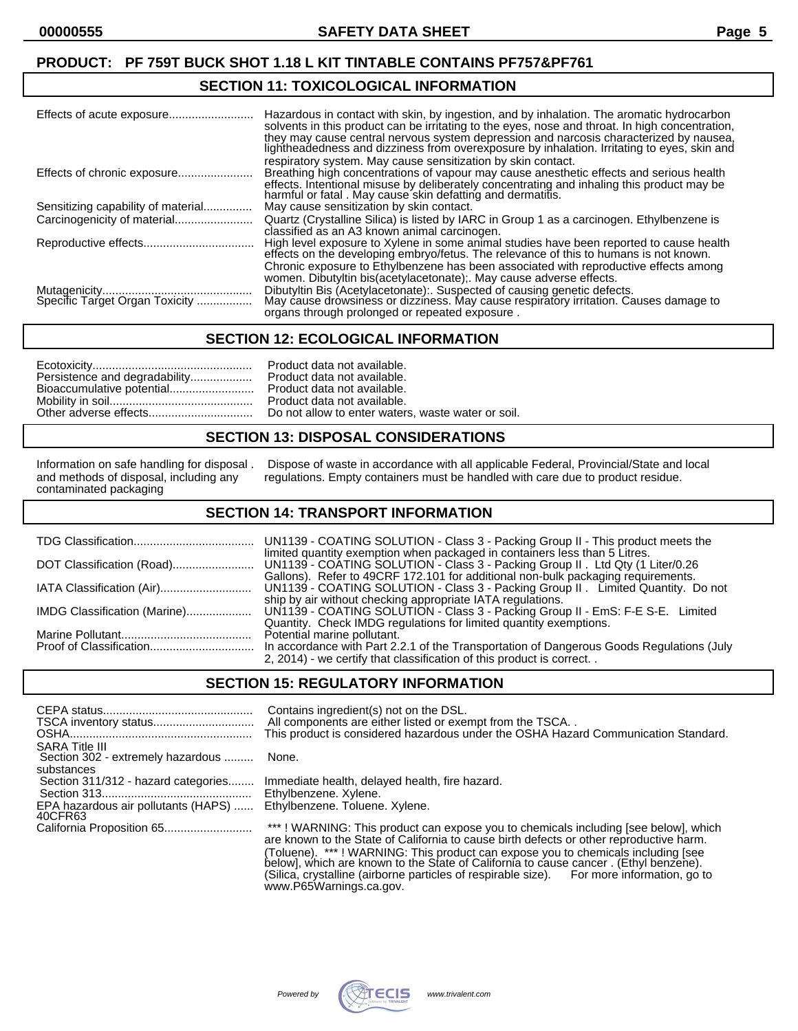### **SECTION 11: TOXICOLOGICAL INFORMATION**

|                                    | Hazardous in contact with skin, by ingestion, and by inhalation. The aromatic hydrocarbon<br>solvents in this product can be irritating to the eyes, nose and throat. In high concentration,<br>they may cause central nervous system depression and narcosis characterized by nausea,<br>lightheadedness and dizziness from overexposure by inhalation. Irritating to eyes, skin and |
|------------------------------------|---------------------------------------------------------------------------------------------------------------------------------------------------------------------------------------------------------------------------------------------------------------------------------------------------------------------------------------------------------------------------------------|
| Effects of chronic exposure        | respiratory system. May cause sensitization by skin contact.<br>Breathing high concentrations of vapour may cause anesthetic effects and serious health<br>effects. Intentional misuse by deliberately concentrating and inhaling this product may be<br>harmful or fatal . May cause skin defatting and dermatitis.                                                                  |
| Sensitizing capability of material | May cause sensitization by skin contact.                                                                                                                                                                                                                                                                                                                                              |
|                                    | Quartz (Crystalline Silica) is listed by IARC in Group 1 as a carcinogen. Ethylbenzene is<br>classified as an A3 known animal carcinogen.                                                                                                                                                                                                                                             |
|                                    | High level exposure to Xylene in some animal studies have been reported to cause health<br>effects on the developing embryo/fetus. The relevance of this to humans is not known.                                                                                                                                                                                                      |
|                                    | Chronic exposure to Ethylbenzene has been associated with reproductive effects among<br>women. Dibutyltin bis(acetylacetonate); May cause adverse effects.                                                                                                                                                                                                                            |
|                                    | Dibutyltin Bis (Acetylacetonate): Suspected of causing genetic defects.<br>May cause drowsiness or dizziness. May cause respiratory irritation. Causes damage to<br>organs through prolonged or repeated exposure.                                                                                                                                                                    |

### **SECTION 12: ECOLOGICAL INFORMATION**

### **SECTION 13: DISPOSAL CONSIDERATIONS**

contaminated packaging

Information on safe handling for disposal . Dispose of waste in accordance with all applicable Federal, Provincial/State and local and methods of disposal, including any regulations. Empty containers must be handled with care due to product residue.

### **SECTION 14: TRANSPORT INFORMATION**

|                              | limited quantity exemption when packaged in containers less than 5 Litres.<br>Gallons). Refer to 49CRF 172.101 for additional non-bulk packaging requirements.   |
|------------------------------|------------------------------------------------------------------------------------------------------------------------------------------------------------------|
|                              | UN1139 - COATING SOLUTION - Class 3 - Packing Group II . Limited Quantity. Do not                                                                                |
| IMDG Classification (Marine) | ship by air without checking appropriate IATA regulations.<br>UN1139 - COATING SOLUTION - Class 3 - Packing Group II - EmS: F-E S-E. Limited                     |
|                              | Quantity. Check IMDG regulations for limited quantity exemptions.<br>Potential marine pollutant.                                                                 |
|                              | In accordance with Part 2.2.1 of the Transportation of Dangerous Goods Regulations (July<br>2, 2014) - we certify that classification of this product is correct |

### **SECTION 15: REGULATORY INFORMATION**

|                                                                   | Contains ingredient(s) not on the DSL.<br>All components are either listed or exempt from the TSCA                                                                            |
|-------------------------------------------------------------------|-------------------------------------------------------------------------------------------------------------------------------------------------------------------------------|
|                                                                   | This product is considered hazardous under the OSHA Hazard Communication Standard.                                                                                            |
| <b>SARA Title III</b><br>Section 302 - extremely hazardous  None. |                                                                                                                                                                               |
| substances                                                        |                                                                                                                                                                               |
| Section 311/312 - hazard categories                               | Immediate health, delayed health, fire hazard.                                                                                                                                |
|                                                                   | Ethylbenzene. Xylene.                                                                                                                                                         |
| EPA hazardous air pollutants (HAPS)<br>40CFR63                    | Ethylbenzene. Toluene. Xylene.                                                                                                                                                |
|                                                                   | ***! WARNING: This product can expose you to chemicals including [see below], which<br>are known to the State of California to cause birth defects or other reproductive harm |

are known to the State of California to cause birth defects or other reproductive harm. (Toluene). \*\*\* ! WARNING: This product can expose you to chemicals including [see below], which are known to the State of California to cause cancer . (Ethyl benzene). (Silica, crystalline (airborne particles of respirable size). For more information, go to www.P65Warnings.ca.gov.